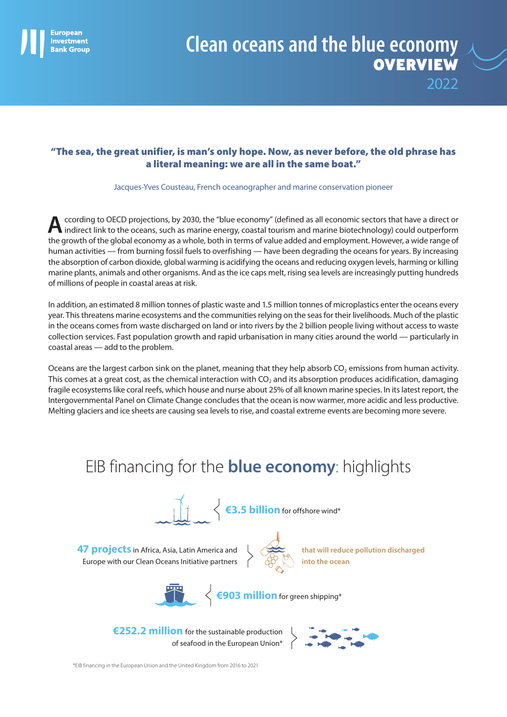

#### "The sea, the great unifier, is man's only hope. Now, as never before, the old phrase has a literal meaning: we are all in the same boat."

Jacques-Yves Cousteau, French oceanographer and marine conservation pioneer

A ccording to OECD projections, by 2030, the "blue economy" (defined as all economic sectors that have a direct or<br>indirect link to the oceans, such as marine energy, coastal tourism and marine biotechnology) could outperf the growth of the global economy as a whole, both in terms of value added and employment. However, a wide range of human activities — from burning fossil fuels to overfishing — have been degrading the oceans for years. By increasing the absorption of carbon dioxide, global warming is acidifying the oceans and reducing oxygen levels, harming or killing marine plants, animals and other organisms. And as the ice caps melt, rising sea levels are increasingly putting hundreds of millions of people in coastal areas at risk.

In addition, an estimated 8 million tonnes of plastic waste and 1.5 million tonnes of microplastics enter the oceans every year. This threatens marine ecosystems and the communities relying on the seas for their livelihoods. Much of the plastic in the oceans comes from waste discharged on land or into rivers by the 2 billion people living without access to waste collection services. Fast population growth and rapid urbanisation in many cities around the world — particularly in coastal areas — add to the problem.

Oceans are the largest carbon sink on the planet, meaning that they help absorb CO<sub>2</sub> emissions from human activity. This comes at a great cost, as the chemical interaction with  $CO<sub>2</sub>$  and its absorption produces acidification, damaging fragile ecosystems like coral reefs, which house and nurse about 25% of all known marine species. In its latest report, the Intergovernmental Panel on Climate Change concludes that the ocean is now warmer, more acidic and less productive. Melting glaciers and ice sheets are causing sea levels to rise, and coastal extreme events are becoming more severe.

# EIB financing for the **blue economy**: highlights



**47 projects** in Africa, Asia, Latin America and Europe with our Clean Oceans Initiative partners



**that will reduce pollution discharged into the ocean**



**€903 million** for green shipping\*

**€252.2 million** for the sustainable production of seafood in the European Union\*



\*EIB financing in the European Union and the United Kingdom from 2016 to 2021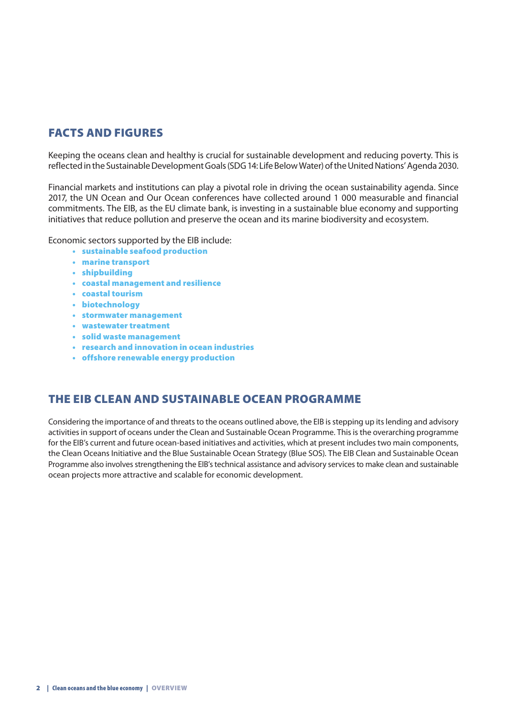## FACTS AND FIGURES

Keeping the oceans clean and healthy is crucial for sustainable development and reducing poverty. This is reflected in the Sustainable Development Goals (SDG 14: Life Below Water) of the United Nations' Agenda 2030.

Financial markets and institutions can play a pivotal role in driving the ocean sustainability agenda. Since 2017, the UN Ocean and Our Ocean conferences have collected around 1 000 measurable and financial commitments. The EIB, as the EU climate bank, is investing in a sustainable blue economy and supporting initiatives that reduce pollution and preserve the ocean and its marine biodiversity and ecosystem.

Economic sectors supported by the EIB include:

- sustainable seafood production
- marine transport
- shipbuilding
- coastal management and resilience
- coastal tourism
- biotechnology
- stormwater management
- wastewater treatment
- solid waste management
- research and innovation in ocean industries
- offshore renewable energy production

## THE EIB CLEAN AND SUSTAINABLE OCEAN PROGRAMME

Considering the importance of and threats to the oceans outlined above, the EIB is stepping up its lending and advisory activities in support of oceans under the Clean and Sustainable Ocean Programme. This is the overarching programme for the EIB's current and future ocean-based initiatives and activities, which at present includes two main components, the Clean Oceans Initiative and the Blue Sustainable Ocean Strategy (Blue SOS). The EIB Clean and Sustainable Ocean Programme also involves strengthening the EIB's technical assistance and advisory services to make clean and sustainable ocean projects more attractive and scalable for economic development.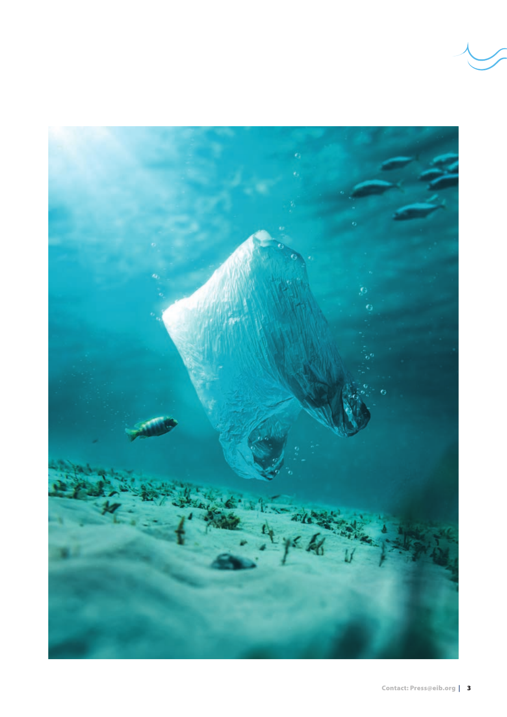

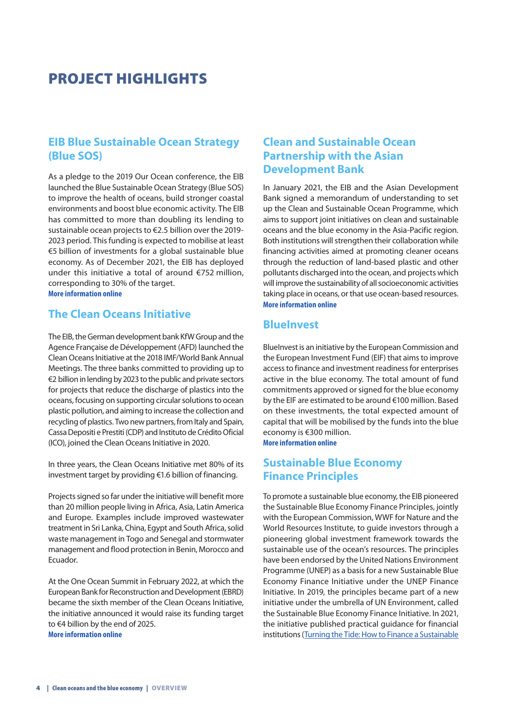# PROJECT HIGHLIGHTS

## **EIB Blue Sustainable Ocean Strategy (Blue SOS)**

As a pledge to the 2019 Our Ocean conference, the EIB launched the Blue Sustainable Ocean Strategy (Blue SOS) to improve the health of oceans, build stronger coastal environments and boost blue economic activity. The EIB has committed to more than doubling its lending to sustainable ocean projects to €2.5 billion over the 2019- 2023 period. This funding is expected to mobilise at least €5 billion of investments for a global sustainable blue economy. As of December 2021, the EIB has deployed under this initiative a total of around €752 million, corresponding to 30% of the target.

**[More information online](https://www.eib.org/en/publications/blue-sustainable-ocean-strategy)**

## **The Clean Oceans Initiative**

The EIB, the German development bank KfW Group and the Agence Française de Développement (AFD) launched the Clean Oceans Initiative at the 2018 IMF/World Bank Annual Meetings. The three banks committed to providing up to €2 billion in lending by 2023 to the public and private sectors for projects that reduce the discharge of plastics into the oceans, focusing on supporting circular solutions to ocean plastic pollution, and aiming to increase the collection and recycling of plastics. Two new partners, from Italy and Spain, Cassa Depositi e Prestiti (CDP) and Instituto de Crédito Oficial (ICO), joined the Clean Oceans Initiative in 2020.

In three years, the Clean Oceans Initiative met 80% of its investment target by providing €1.6 billion of financing.

Projects signed so far under the initiative will benefit more than 20 million people living in Africa, Asia, Latin America and Europe. Examples include improved wastewater treatment in Sri Lanka, China, Egypt and South Africa, solid waste management in Togo and Senegal and stormwater management and flood protection in Benin, Morocco and Ecuador.

At the One Ocean Summit in February 2022, at which the European Bank for Reconstruction and Development (EBRD) became the sixth member of the Clean Oceans Initiative, the initiative announced it would raise its funding target to €4 billion by the end of 2025. **[More information online](https://www.eib.org/en/publications/the-clean-oceans-initiative.htm)**

## **Clean and Sustainable Ocean Partnership with the Asian Development Bank**

In January 2021, the EIB and the Asian Development Bank signed a memorandum of understanding to set up the Clean and Sustainable Ocean Programme, which aims to support joint initiatives on clean and sustainable oceans and the blue economy in the Asia-Pacific region. Both institutions will strengthen their collaboration while financing activities aimed at promoting cleaner oceans through the reduction of land-based plastic and other pollutants discharged into the ocean, and projects which will improve the sustainability of all socioeconomic activities taking place in oceans, or that use ocean-based resources. **[More information online](https://www.eib.org/en/press/all/2021-018-the-asian-development-bank-and-the-european-investment-bank-join-forces-to-protect-the-oceans-and-support-the-sustainable-blue-economy)**

#### **BlueInvest**

BlueInvest is an initiative by the European Commission and the European Investment Fund (EIF) that aims to improve access to finance and investment readiness for enterprises active in the blue economy. The total amount of fund commitments approved or signed for the blue economy by the EIF are estimated to be around €100 million. Based on these investments, the total expected amount of capital that will be mobilised by the funds into the blue economy is €300 million.

**[More information online](https://webgate.ec.europa.eu/maritimeforum/en/frontpage/1451%20.)**

## **Sustainable Blue Economy Finance Principles**

To promote a sustainable blue economy, the EIB pioneered the Sustainable Blue Economy Finance Principles, jointly with the European Commission, WWF for Nature and the World Resources Institute, to guide investors through a pioneering global investment framework towards the sustainable use of the ocean's resources. The principles have been endorsed by the United Nations Environment Programme (UNEP) as a basis for a new Sustainable Blue Economy Finance Initiative under the UNEP Finance Initiative. In 2019, the principles became part of a new initiative under the umbrella of UN Environment, called the Sustainable Blue Economy Finance Initiative. In 2021, the initiative published practical guidance for financial institutions [\(Turning the Tide: How to Finance a Sustainable](https://www.unepfi.org/publications/turning-the-tide/)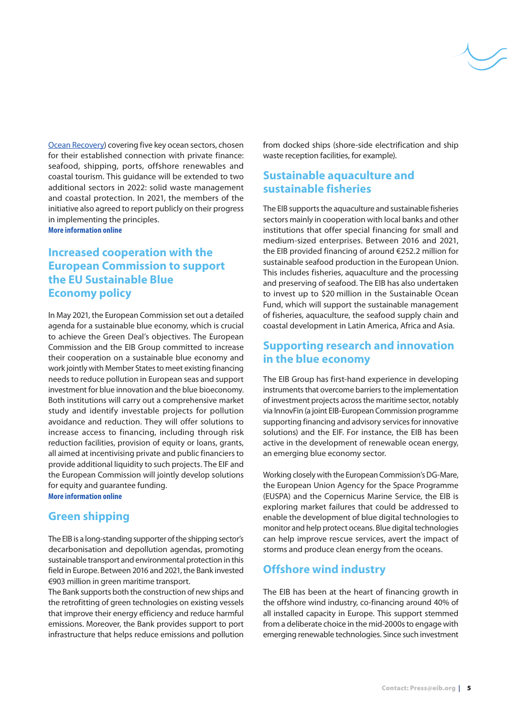[Ocean Recovery](https://www.unepfi.org/publications/turning-the-tide/)) covering five key ocean sectors, chosen for their established connection with private finance: seafood, shipping, ports, offshore renewables and coastal tourism. This guidance will be extended to two additional sectors in 2022: solid waste management and coastal protection. In 2021, the members of the initiative also agreed to report publicly on their progress in implementing the principles.

**[More information online](https://www.unepfi.org/blue-finance/the-principles/)**

## **Increased cooperation with the European Commission to support the EU Sustainable Blue Economy policy**

In May 2021, the European Commission set out a detailed agenda for a sustainable blue economy, which is crucial to achieve the Green Deal's objectives. The European Commission and the EIB Group committed to increase their cooperation on a sustainable blue economy and work jointly with Member States to meet existing financing needs to reduce pollution in European seas and support investment for blue innovation and the blue bioeconomy. Both institutions will carry out a comprehensive market study and identify investable projects for pollution avoidance and reduction. They will offer solutions to increase access to financing, including through risk reduction facilities, provision of equity or loans, grants, all aimed at incentivising private and public financiers to provide additional liquidity to such projects. The EIF and the European Commission will jointly develop solutions for equity and guarantee funding.

**[More information online](https://www.eib.org/en/press/all/2021-161-the-european-commission-and-european-investment-bank-group-join-forces-to-protect-the-oceans-and-boost-investment-in-the-sustainable-blue-economy)**

## **Green shipping**

The EIB is a long-standing supporter of the shipping sector's decarbonisation and depollution agendas, promoting sustainable transport and environmental protection in this field in Europe. Between 2016 and 2021, the Bank invested €903 million in green maritime transport.

The Bank supports both the construction of new ships and the retrofitting of green technologies on existing vessels that improve their energy efficiency and reduce harmful emissions. Moreover, the Bank provides support to port infrastructure that helps reduce emissions and pollution from docked ships (shore-side electrification and ship waste reception facilities, for example).

## **Sustainable aquaculture and sustainable fisheries**

The EIB supports the aquaculture and sustainable fisheries sectors mainly in cooperation with local banks and other institutions that offer special financing for small and medium-sized enterprises. Between 2016 and 2021, the EIB provided financing of around €252.2 million for sustainable seafood production in the European Union. This includes fisheries, aquaculture and the processing and preserving of seafood. The EIB has also undertaken to invest up to \$20 million in the Sustainable Ocean Fund, which will support the sustainable management of fisheries, aquaculture, the seafood supply chain and coastal development in Latin America, Africa and Asia.

## **Supporting research and innovation in the blue economy**

The EIB Group has first-hand experience in developing instruments that overcome barriers to the implementation of investment projects across the maritime sector, notably via InnovFin (a joint EIB-European Commission programme supporting financing and advisory services for innovative solutions) and the EIF. For instance, the EIB has been active in the development of renewable ocean energy, an emerging blue economy sector.

Working closely with the European Commission's DG-Mare, the European Union Agency for the Space Programme (EUSPA) and the Copernicus Marine Service, the EIB is exploring market failures that could be addressed to enable the development of blue digital technologies to monitor and help protect oceans. Blue digital technologies can help improve rescue services, avert the impact of storms and produce clean energy from the oceans.

## **Offshore wind industry**

The EIB has been at the heart of financing growth in the offshore wind industry, co-financing around 40% of all installed capacity in Europe. This support stemmed from a deliberate choice in the mid-2000s to engage with emerging renewable technologies. Since such investment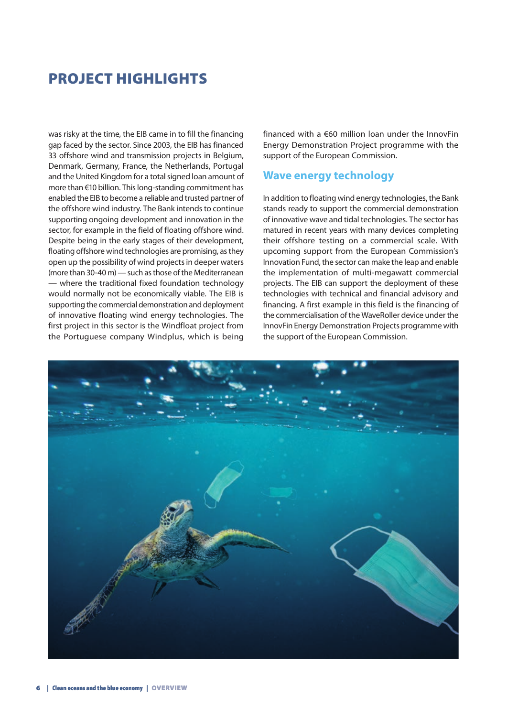## PROJECT HIGHLIGHTS

was risky at the time, the EIB came in to fill the financing gap faced by the sector. Since 2003, the EIB has financed 33 offshore wind and transmission projects in Belgium, Denmark, Germany, France, the Netherlands, Portugal and the United Kingdom for a total signed loan amount of more than €10 billion. This long-standing commitment has enabled the EIB to become a reliable and trusted partner of the offshore wind industry. The Bank intends to continue supporting ongoing development and innovation in the sector, for example in the field of floating offshore wind. Despite being in the early stages of their development, floating offshore wind technologies are promising, as they open up the possibility of wind projects in deeper waters (more than 30-40 m) — such as those of the Mediterranean — where the traditional fixed foundation technology would normally not be economically viable. The EIB is supporting the commercial demonstration and deployment of innovative floating wind energy technologies. The first project in this sector is the Windfloat project from the Portuguese company Windplus, which is being financed with a  $€60$  million loan under the InnovFin Energy Demonstration Project programme with the support of the European Commission.

#### **Wave energy technology**

In addition to floating wind energy technologies, the Bank stands ready to support the commercial demonstration of innovative wave and tidal technologies. The sector has matured in recent years with many devices completing their offshore testing on a commercial scale. With upcoming support from the European Commission's Innovation Fund, the sector can make the leap and enable the implementation of multi-megawatt commercial projects. The EIB can support the deployment of these technologies with technical and financial advisory and financing. A first example in this field is the financing of the commercialisation of the WaveRoller device under the InnovFin Energy Demonstration Projects programme with the support of the European Commission.

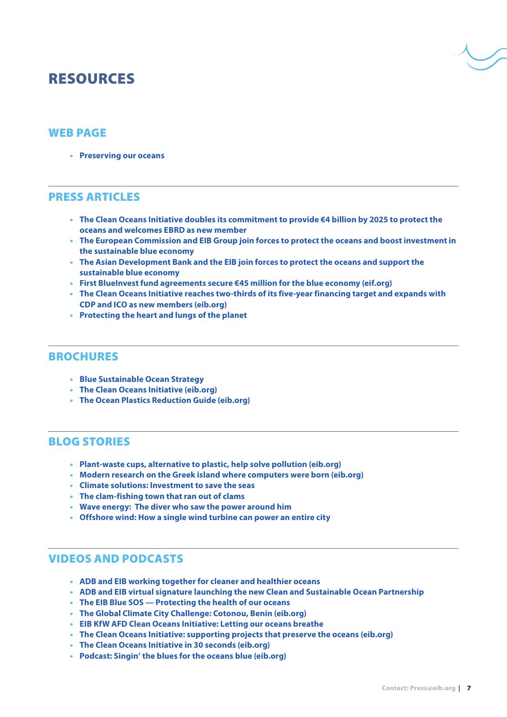## RESOURCES

#### WEB PAGE

• **[Preserving our oceans](https://www.eib.org/en/about/initiatives/preserving-our-oceans/index.htm)**

#### PRESS ARTICLES

- **[The Clean Oceans Initiative doubles its commitment to provide €4 billion by 2025 to protect the](https://www.eib.org/en/press/all/2022-092-the-clean-oceans-initiative-doubles-its-commitment-to-provide-eur4-billion-by-2025-to-protect-the-oceans-and-welcomes-ebrd-as-new-member)  [oceans and welcomes EBRD as new member](https://www.eib.org/en/press/all/2022-092-the-clean-oceans-initiative-doubles-its-commitment-to-provide-eur4-billion-by-2025-to-protect-the-oceans-and-welcomes-ebrd-as-new-member)**
- **[The European Commission and EIB Group join forces to protect the oceans and boost investment in](https://www.eib.org/en/press/all/2021-161-the-european-commission-and-european-investment-bank-group-join-forces-to-protect-the-oceans-and-boost-investment-in-the-sustainable-blue-economy)  [the sustainable blue economy](https://www.eib.org/en/press/all/2021-161-the-european-commission-and-european-investment-bank-group-join-forces-to-protect-the-oceans-and-boost-investment-in-the-sustainable-blue-economy)**
- **[The Asian Development Bank and the EIB join forces to protect the oceans and support the](https://www.eib.org/en/press/all/2021-018-the-asian-development-bank-and-the-european-investment-bank-join-forces-to-protect-the-oceans-and-support-the-sustainable-blue-economy)  [sustainable blue economy](https://www.eib.org/en/press/all/2021-018-the-asian-development-bank-and-the-european-investment-bank-join-forces-to-protect-the-oceans-and-support-the-sustainable-blue-economy)**
- **[First BlueInvest fund agreements secure €45 million for the blue economy \(eif.org\)](https://www.eif.org/what_we_do/equity/news/2021/first-blueinvest-fund-agreements-secure-eur-45-million-blue-economy.htm)**
- **[The Clean Oceans Initiative reaches two-thirds of its five-year financing target and expands with](https://www.eib.org/en/press/all/2020-276-the-clean-oceans-initiative-reaches-two-thirds-of-its-5-year-financing-target-and-expands-with-cdp-and-ico-as-new-members)  [CDP and ICO as new members \(eib.org\)](https://www.eib.org/en/press/all/2020-276-the-clean-oceans-initiative-reaches-two-thirds-of-its-5-year-financing-target-and-expands-with-cdp-and-ico-as-new-members)**
- **[Protecting the heart and lungs of the planet](https://www.globalcapital.com/globalmarkets/article/28mtzhuukcqzvoxepbkzk/ssa/protecting-the-heart-and-lungs-of-the-planet)**

#### BROCHURES

- **[Blue Sustainable Ocean Strategy](https://www.eib.org/en/publications/blue-sustainable-ocean-strategy.htm)**
- **[The Clean Oceans Initiative \(eib.org\)](https://www.eib.org/en/publications/the-clean-oceans-initiative.htm)**
- **[The Ocean Plastics Reduction Guide \(eib.org\)](https://www.eib.org/en/publications/the-ocean-plastics-reduction-guide)**

#### BLOG STORIES

- **[Plant-waste cups, alternative to plastic, help solve pollution \(eib.org\)](https://www.eib.org/en/stories/plant-waste-cups)**
- **[Modern research on the Greek island where computers were born \(eib.org\)](https://www.eib.org/en/stories/greece-climate-change-infrastructure)**
- **[Climate solutions: Investment to save the seas](https://www.eib.org/en/essays/blue-economy-investment)**
- **[The clam-fishing town that ran out of clams](https://www.eib.org/en/stories/ocean-fund-saves-fishing.htm)**
- **[Wave energy: The diver who saw the power around him](https://www.eib.org/en/stories/wave-energy.htm)**
- **[Offshore wind: How a single wind turbine can power an entire city](https://www.eib.org/en/stories/offshore-wind-size-does-matter)**

#### VIDEOS AND PODCASTS

- **[ADB and EIB working together for cleaner and healthier oceans](https://www.eib.org/en/videos/adb-and-eib-working-together-for-cleaner-and-healthier-oceans)**
- **[ADB and EIB virtual signature launching the new Clean and Sustainable Ocean Partnership](https://www.eib.org/en/videos/adb-and-eib-virtual-signature-launching-the-new-clean-and-sustainable-ocean-partnership)**
- **[The EIB Blue SOS Protecting the health of our oceans](https://www.eib.org/en/videos/blue-sos-protecting-the-health-of-our-oceans)**
- **[The Global Climate City Challenge: Cotonou, Benin \(eib.org\)](https://www.eib.org/en/videos/the-global-climate-city-challenge-cotonou-benin)**
- **[EIB KfW AFD Clean Oceans Initiative: Letting our oceans breathe](https://www.youtube.com/watch?v=61-ykBbRwiY)**
- **[The Clean Oceans Initiative: supporting projects that preserve the oceans \(eib.org\)](https://www.eib.org/en/videos/clean-oceans-initiative-supporting-projects-preserve-oceans)**
- **[The Clean Oceans Initiative in 30 seconds \(eib.org\)](https://www.eib.org/en/videos/cop24-barbara-schnell)**
- **[Podcast: Singin' the blues for the oceans blue \(eib.org\)](https://www.eib.org/en/podcasts/climate-podcast-oceans)**